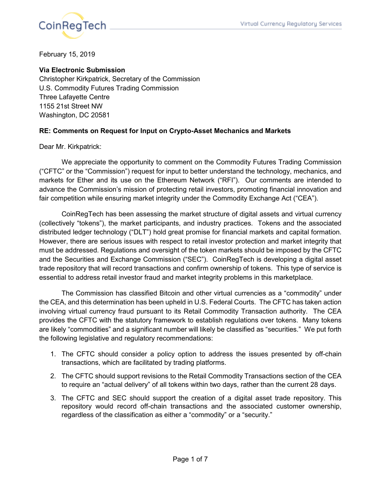

February 15, 2019

## **Via Electronic Submission**

Christopher Kirkpatrick, Secretary of the Commission U.S. Commodity Futures Trading Commission Three Lafayette Centre 1155 21st Street NW Washington, DC 20581

# **RE: Comments on Request for Input on Crypto-Asset Mechanics and Markets**

Dear Mr. Kirkpatrick:

 We appreciate the opportunity to comment on the Commodity Futures Trading Commission ("CFTC" or the "Commission") request for input to better understand the technology, mechanics, and markets for Ether and its use on the Ethereum Network ("RFI"). Our comments are intended to advance the Commission's mission of protecting retail investors, promoting financial innovation and fair competition while ensuring market integrity under the Commodity Exchange Act ("CEA").

 CoinRegTech has been assessing the market structure of digital assets and virtual currency (collectively "tokens"), the market participants, and industry practices. Tokens and the associated distributed ledger technology ("DLT") hold great promise for financial markets and capital formation. However, there are serious issues with respect to retail investor protection and market integrity that must be addressed. Regulations and oversight of the token markets should be imposed by the CFTC and the Securities and Exchange Commission ("SEC"). CoinRegTech is developing a digital asset trade repository that will record transactions and confirm ownership of tokens. This type of service is essential to address retail investor fraud and market integrity problems in this marketplace.

 The Commission has classified Bitcoin and other virtual currencies as a "commodity" under the CEA, and this determination has been upheld in U.S. Federal Courts. The CFTC has taken action involving virtual currency fraud pursuant to its Retail Commodity Transaction authority. The CEA provides the CFTC with the statutory framework to establish regulations over tokens. Many tokens are likely "commodities" and a significant number will likely be classified as "securities." We put forth the following legislative and regulatory recommendations:

- 1. The CFTC should consider a policy option to address the issues presented by off-chain transactions, which are facilitated by trading platforms.
- 2. The CFTC should support revisions to the Retail Commodity Transactions section of the CEA to require an "actual delivery" of all tokens within two days, rather than the current 28 days.
- 3. The CFTC and SEC should support the creation of a digital asset trade repository. This repository would record off-chain transactions and the associated customer ownership, regardless of the classification as either a "commodity" or a "security."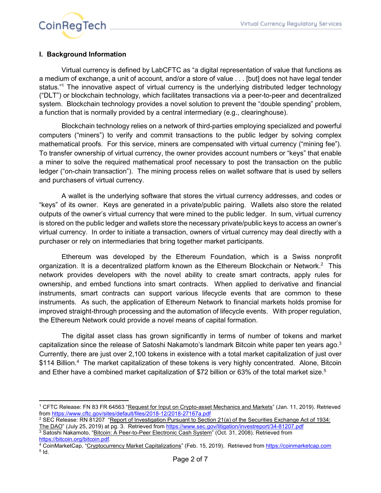# CoinRegTech

-

# **I. Background Information**

Virtual currency is defined by LabCFTC as "a digital representation of value that functions as a medium of exchange, a unit of account, and/or a store of value . . . [but] does not have legal tender status."<sup>1</sup> The innovative aspect of virtual currency is the underlying distributed ledger technology ("DLT") or blockchain technology, which facilitates transactions via a peer-to-peer and decentralized system. Blockchain technology provides a novel solution to prevent the "double spending" problem, a function that is normally provided by a central intermediary (e.g., clearinghouse).

 Blockchain technology relies on a network of third-parties employing specialized and powerful computers ("miners") to verify and commit transactions to the public ledger by solving complex mathematical proofs. For this service, miners are compensated with virtual currency ("mining fee"). To transfer ownership of virtual currency, the owner provides account numbers or "keys" that enable a miner to solve the required mathematical proof necessary to post the transaction on the public ledger ("on-chain transaction"). The mining process relies on wallet software that is used by sellers and purchasers of virtual currency.

 A wallet is the underlying software that stores the virtual currency addresses, and codes or "keys" of its owner. Keys are generated in a private/public pairing. Wallets also store the related outputs of the owner's virtual currency that were mined to the public ledger. In sum, virtual currency is stored on the public ledger and wallets store the necessary private/public keys to access an owner's virtual currency. In order to initiate a transaction, owners of virtual currency may deal directly with a purchaser or rely on intermediaries that bring together market participants.

 Ethereum was developed by the Ethereum Foundation, which is a Swiss nonprofit organization. It is a decentralized platform known as the Ethereum Blockchain or Network.<sup>2</sup> This network provides developers with the novel ability to create smart contracts, apply rules for ownership, and embed functions into smart contracts. When applied to derivative and financial instruments, smart contracts can support various lifecycle events that are common to these instruments. As such, the application of Ethereum Network to financial markets holds promise for improved straight-through processing and the automation of lifecycle events. With proper regulation, the Ethereum Network could provide a novel means of capital formation.

 The digital asset class has grown significantly in terms of number of tokens and market capitalization since the release of Satoshi Nakamoto's landmark Bitcoin white paper ten years ago. $3$ Currently, there are just over 2,100 tokens in existence with a total market capitalization of just over \$114 Billion.<sup>4</sup> The market capitalization of these tokens is very highly concentrated. Alone, Bitcoin and Ether have a combined market capitalization of \$72 billion or 63% of the total market size.<sup>5</sup>

<sup>2</sup> SEC Release: RN 81207 "Report of Investigation Pursuant to Section 21(a) of the Securities Exchange Act of 1934: The DAO" (July 25, 2019) at pg. 3. Retrieved from https://www.sec.gov/litigation/investreport/34-81207.pdf

<sup>3</sup> Satoshi Nakamoto, "<u>Bitcoin: A Peer-to-Peer Electronic Cash System</u>" (Oct. 31, 2008). Retrieved from https://bitcoin.org/bitcoin.pdf.

<sup>&</sup>lt;sup>1</sup> CFTC Release: FN 83 FR 64563 "Request for Input on Crypto-asset Mechanics and Markets" (Jan. 11, 2019). Retrieved from https://www.cftc.gov/sites/default/files/2018-12/2018-27167a.pdf

<sup>4</sup> CoinMarketCap, "<u>Cryptocurrency Market Capitalizations</u>" (Feb. 15, 2019). Retrieved from https://coinmarketcap.com  $5$  Id.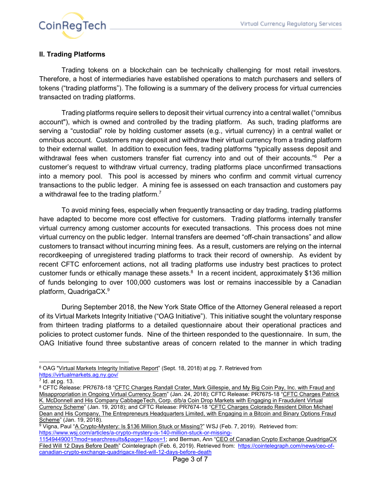

## **II. Trading Platforms**

 Trading tokens on a blockchain can be technically challenging for most retail investors. Therefore, a host of intermediaries have established operations to match purchasers and sellers of tokens ("trading platforms"). The following is a summary of the delivery process for virtual currencies transacted on trading platforms.

 Trading platforms require sellers to deposit their virtual currency into a central wallet ("omnibus account"), which is owned and controlled by the trading platform. As such, trading platforms are serving a "custodial" role by holding customer assets (e.g., virtual currency) in a central wallet or omnibus account. Customers may deposit and withdraw their virtual currency from a trading platform to their external wallet. In addition to execution fees, trading platforms "typically assess deposit and withdrawal fees when customers transfer fiat currency into and out of their accounts."<sup>6</sup> Per a customer's request to withdraw virtual currency, trading platforms place unconfirmed transactions into a memory pool. This pool is accessed by miners who confirm and commit virtual currency transactions to the public ledger. A mining fee is assessed on each transaction and customers pay a withdrawal fee to the trading platform.<sup>7</sup>

 To avoid mining fees, especially when frequently transacting or day trading, trading platforms have adapted to become more cost effective for customers. Trading platforms internally transfer virtual currency among customer accounts for executed transactions. This process does not mine virtual currency on the public ledger. Internal transfers are deemed "off-chain transactions" and allow customers to transact without incurring mining fees. As a result, customers are relying on the internal recordkeeping of unregistered trading platforms to track their record of ownership. As evident by recent CFTC enforcement actions, not all trading platforms use industry best practices to protect customer funds or ethically manage these assets.<sup>8</sup> In a recent incident, approximately \$136 million of funds belonging to over 100,000 customers was lost or remains inaccessible by a Canadian platform, QuadrigaCX.<sup>9</sup>

 During September 2018, the New York State Office of the Attorney General released a report of its Virtual Markets Integrity Initiative ("OAG Initiative"). This initiative sought the voluntary response from thirteen trading platforms to a detailed questionnaire about their operational practices and policies to protect customer funds. Nine of the thirteen responded to the questionnaire. In sum, the OAG Initiative found three substantive areas of concern related to the manner in which trading

-<sup>6</sup> OAG "Virtual Markets Integrity Initiative Report" (Sept. 18, 2018) at pg. 7. Retrieved from

https://virtualmarkets.ag.ny.gov/

<sup>7</sup> Id. at pg. 13.

<sup>&</sup>lt;sup>8</sup> CFTC Release: PR7678-18 "CFTC Charges Randall Crater, Mark Gillespie, and My Big Coin Pay, Inc. with Fraud and Misappropriation in Ongoing Virtual Currency Scam" (Jan. 24, 2018); CFTC Release: PR7675-18 "CFTC Charges Patrick K. McDonnell and His Company CabbageTech, Corp. d/b/a Coin Drop Markets with Engaging in Fraudulent Virtual Currency Scheme" (Jan. 19, 2018); and CFTC Release: PR7674-18 "CFTC Charges Colorado Resident Dillon Michael Dean and His Company, The Entrepreneurs Headquarters Limited, with Engaging in a Bitcoin and Binary Options Fraud Scheme" (Jan. 19, 2018).

<sup>&</sup>lt;sup>9</sup> Vigna, Paul "<u>A Crypto-Mystery: Is \$136 Million Stuck or Missing?</u>" WSJ (Feb. 7, 2019). Retrieved from: https://www.wsj.com/articles/a-crypto-mystery-is-140-million-stuck-or-missing-

<sup>11549449001?</sup>mod=searchresults&page=1&pos=1; and Berman, Ann "CEO of Canadian Crypto Exchange QuadrigaCX Filed Will 12 Days Before Death" Cointelegraph (Feb. 6, 2019). Retrieved from: https://cointelegraph.com/news/ceo-ofcanadian-crypto-exchange-quadrigacx-filed-will-12-days-before-death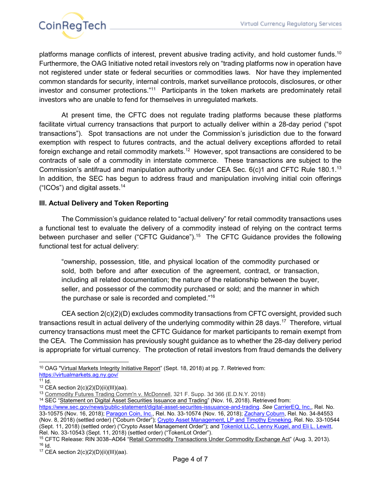

platforms manage conflicts of interest, prevent abusive trading activity, and hold customer funds.<sup>10</sup> Furthermore, the OAG Initiative noted retail investors rely on "trading platforms now in operation have not registered under state or federal securities or commodities laws. Nor have they implemented common standards for security, internal controls, market surveillance protocols, disclosures, or other investor and consumer protections."<sup>11</sup> Participants in the token markets are predominately retail investors who are unable to fend for themselves in unregulated markets.

 At present time, the CFTC does not regulate trading platforms because these platforms facilitate virtual currency transactions that purport to actually deliver within a 28-day period ("spot transactions"). Spot transactions are not under the Commission's jurisdiction due to the forward exemption with respect to futures contracts, and the actual delivery exceptions afforded to retail foreign exchange and retail commodity markets.<sup>12</sup> However, spot transactions are considered to be contracts of sale of a commodity in interstate commerce. These transactions are subject to the Commission's antifraud and manipulation authority under CEA Sec.  $6(c)1$  and CFTC Rule 180.1.<sup>13</sup> In addition, the SEC has begun to address fraud and manipulation involving initial coin offerings ("ICOs") and digital assets. $14$ 

# **III. Actual Delivery and Token Reporting**

 The Commission's guidance related to "actual delivery" for retail commodity transactions uses a functional test to evaluate the delivery of a commodity instead of relying on the contract terms between purchaser and seller ("CFTC Guidance").<sup>15</sup> The CFTC Guidance provides the following functional test for actual delivery:

"ownership, possession, title, and physical location of the commodity purchased or sold, both before and after execution of the agreement, contract, or transaction, including all related documentation; the nature of the relationship between the buyer, seller, and possessor of the commodity purchased or sold; and the manner in which the purchase or sale is recorded and completed." $16$ 

 CEA section 2(c)(2)(D) excludes commodity transactions from CFTC oversight, provided such transactions result in actual delivery of the underlying commodity within 28 days.<sup>17</sup> Therefore, virtual currency transactions must meet the CFTC Guidance for market participants to remain exempt from the CEA. The Commission has previously sought guidance as to whether the 28-day delivery period is appropriate for virtual currency. The protection of retail investors from fraud demands the delivery

<sup>15</sup> CFTC Release: RIN 3038–AD64 "Retail Commodity Transactions Under Commodity Exchange Act" (Aug. 3, 2013).  $16$  Id.

<sup>-</sup><sup>10</sup> OAG "Virtual Markets Integrity Initiative Report" (Sept. 18, 2018) at pg. 7. Retrieved from: https://virtualmarkets.ag.ny.gov/

 $11$  Id.

<sup>&</sup>lt;sup>12</sup> CEA section  $2(c)(2)(D)(ii)(III)(aa)$ .

<sup>13</sup> Commodity Futures Trading Comm'n v. McDonnell, 321 F. Supp. 3d 366 (E.D.N.Y. 2018)

<sup>14</sup> SEC "Statement on Digital Asset Securities Issuance and Trading" (Nov. 16, 2018). Retrieved from: https://www.sec.gov/news/public-statement/digital-asset-securites-issuuance-and-trading. *See* CarrierEQ, Inc., Rel. No. 33-10575 (Nov. 16, 2018); Paragon Coin, Inc., Rel. No. 33-10574 (Nov. 16, 2018); Zachary Coburn, Rel. No. 34-84553 (Nov. 8, 2018) (settled order) ("Coburn Order"); Crypto Asset Management, LP and Timothy Enneking, Rel. No. 33-10544 (Sept. 11, 2018) (settled order) ("Crypto Asset Management Order"); and Tokenlot LLC, Lenny Kugel, and Eli L. Lewitt, Rel. No. 33-10543 (Sept. 11, 2018) (settled order) ("TokenLot Order").

 $17$  CEA section 2(c)(2)(D)(ii)(III)(aa).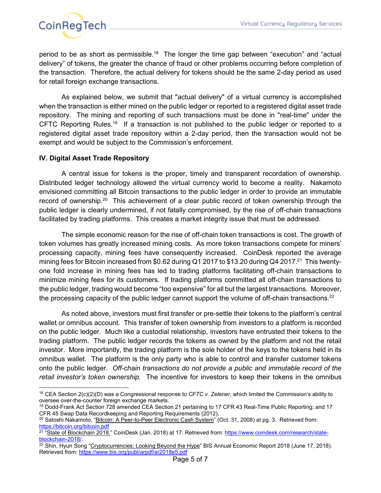

period to be as short as permissible.<sup>18</sup> The longer the time gap between "execution" and "actual delivery" of tokens, the greater the chance of fraud or other problems occurring before completion of the transaction. Therefore, the actual delivery for tokens should be the same 2-day period as used for retail foreign exchange transactions.

 As explained below, we submit that "actual delivery" of a virtual currency is accomplished when the transaction is either mined on the public ledger or reported to a registered digital asset trade repository. The mining and reporting of such transactions must be done in "real-time" under the CFTC Reporting Rules.<sup>19</sup> If a transaction is not published to the public ledger or reported to a registered digital asset trade repository within a 2-day period, then the transaction would not be exempt and would be subject to the Commission's enforcement.

#### **IV. Digital Asset Trade Repository**

A central issue for tokens is the proper, timely and transparent recordation of ownership. Distributed ledger technology allowed the virtual currency world to become a reality. Nakamoto envisioned committing all Bitcoin transactions to the public ledger in order to provide an immutable record of ownership.<sup>20</sup> This achievement of a clear public record of token ownership through the public ledger is clearly undermined, if not fatally compromised, by the rise of off-chain transactions facilitated by trading platforms. This creates a market integrity issue that must be addressed.

 The simple economic reason for the rise of off-chain token transactions is cost. The growth of token volumes has greatly increased mining costs. As more token transactions compete for miners' processing capacity, mining fees have consequently increased. CoinDesk reported the average mining fees for Bitcoin increased from \$0.62 during Q1 2017 to \$13.20 during Q4 2017.<sup>21</sup> This twentyone fold increase in mining fees has led to trading platforms facilitating off-chain transactions to minimize mining fees for its customers. If trading platforms committed all off-chain transactions to the public ledger, trading would become "too expensive" for all but the largest transactions. Moreover, the processing capacity of the public ledger cannot support the volume of off-chain transactions.<sup>22</sup>

 As noted above, investors must first transfer or pre-settle their tokens to the platform's central wallet or omnibus account. This transfer of token ownership from investors to a platform is recorded on the public ledger. Much like a custodial relationship, investors have entrusted their tokens to the trading platform. The public ledger records the tokens as owned by the platform and not the retail investor. More importantly, the trading platform is the sole holder of the keys to the tokens held in its omnibus wallet. The platform is the only party who is able to control and transfer customer tokens onto the public ledger. *Off-chain transactions do not provide a public and immutable record of the retail investor's token ownership.* The incentive for investors to keep their tokens in the omnibus

 $\overline{a}$ <sup>18</sup> CEA Section 2(c)(2)(D) was a Congressional response to *CFTC v. Zelener*, which limited the Commission's ability to oversee over-the-counter foreign exchange markets.

<sup>19</sup> Dodd-Frank Act Section 728 amended CEA Section 21 pertaining to 17 CFR 43 Real-Time Public Reporting; and 17 CFR 45 Swap Data Recordkeeping and Reporting Requirements (2012).

<sup>&</sup>lt;sup>20</sup> Satoshi Nakamoto, "Bitcoin: A Peer-to-Peer Electronic Cash System" (Oct. 31, 2008) at pg. 3. Retrieved from: https://bitcoin.org/bitcoin.pdf

 $^{21}$  "State of Blockchain 2018." CoinDesk (Jan. 2018) at 17. Retrieved from: https://www.coindesk.com/research/stateblockchain-2018/.

<sup>&</sup>lt;sup>22</sup> Shin, Hyun Song "Cryptocurrencies: Looking Beyond the Hype" BIS Annual Economic Report 2018 (June 17, 2018). Retrieved from: https://www.bis.org/publ/arpdf/ar2018e5.pdf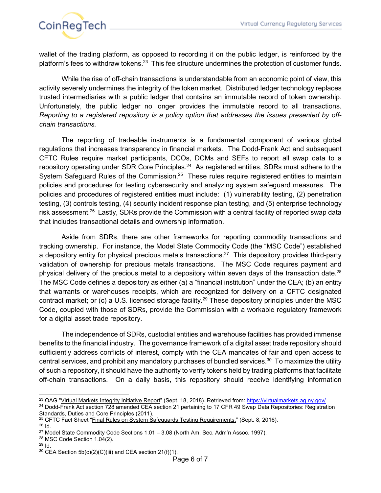

wallet of the trading platform, as opposed to recording it on the public ledger, is reinforced by the platform's fees to withdraw tokens.<sup>23</sup> This fee structure undermines the protection of customer funds.

 While the rise of off-chain transactions is understandable from an economic point of view, this activity severely undermines the integrity of the token market. Distributed ledger technology replaces trusted intermediaries with a public ledger that contains an immutable record of token ownership. Unfortunately, the public ledger no longer provides the immutable record to all transactions. *Reporting to a registered repository is a policy option that addresses the issues presented by offchain transactions.*

 The reporting of tradeable instruments is a fundamental component of various global regulations that increases transparency in financial markets. The Dodd-Frank Act and subsequent CFTC Rules require market participants, DCOs, DCMs and SEFs to report all swap data to a repository operating under SDR Core Principles.<sup>24</sup> As registered entities, SDRs must adhere to the System Safeguard Rules of the Commission.<sup>25</sup> These rules require registered entities to maintain policies and procedures for testing cybersecurity and analyzing system safeguard measures. The policies and procedures of registered entities must include: (1) vulnerability testing, (2) penetration testing, (3) controls testing, (4) security incident response plan testing, and (5) enterprise technology risk assessment.<sup>26</sup> Lastly, SDRs provide the Commission with a central facility of reported swap data that includes transactional details and ownership information.

 Aside from SDRs, there are other frameworks for reporting commodity transactions and tracking ownership. For instance, the Model State Commodity Code (the "MSC Code") established a depository entity for physical precious metals transactions.<sup>27</sup> This depository provides third-party validation of ownership for precious metals transactions. The MSC Code requires payment and physical delivery of the precious metal to a depository within seven days of the transaction date.<sup>28</sup> The MSC Code defines a depository as either (a) a "financial institution" under the CEA; (b) an entity that warrants or warehouses receipts, which are recognized for delivery on a CFTC designated contract market; or (c) a U.S. licensed storage facility.<sup>29</sup> These depository principles under the MSC Code, coupled with those of SDRs, provide the Commission with a workable regulatory framework for a digital asset trade repository.

 The independence of SDRs, custodial entities and warehouse facilities has provided immense benefits to the financial industry. The governance framework of a digital asset trade repository should sufficiently address conflicts of interest, comply with the CEA mandates of fair and open access to central services, and prohibit any mandatory purchases of bundled services.<sup>30</sup> To maximize the utility of such a repository, it should have the authority to verify tokens held by trading platforms that facilitate off-chain transactions. On a daily basis, this repository should receive identifying information

<sup>-</sup><sup>23</sup> OAG "Virtual Markets Integrity Initiative Report" (Sept. 18, 2018). Retrieved from: https://virtualmarkets.ag.ny.gov/

<sup>&</sup>lt;sup>24</sup> Dodd-Frank Act section 728 amended CEA section 21 pertaining to 17 CFR 49 Swap Data Repositories: Registration Standards, Duties and Core Principles (2011).

<sup>&</sup>lt;sup>25</sup> CFTC Fact Sheet "Final Rules on System Safeguards Testing Requirements." (Sept. 8, 2016).

<sup>26</sup> Id.

<sup>27</sup> Model State Commodity Code Sections 1.01 – 3.08 (North Am. Sec. Adm'n Assoc. 1997).

<sup>28</sup> MSC Code Section 1.04(2).

 $29$  Id.

 $30$  CEA Section 5b(c)(2)(C)(iii) and CEA section 21(f)(1).